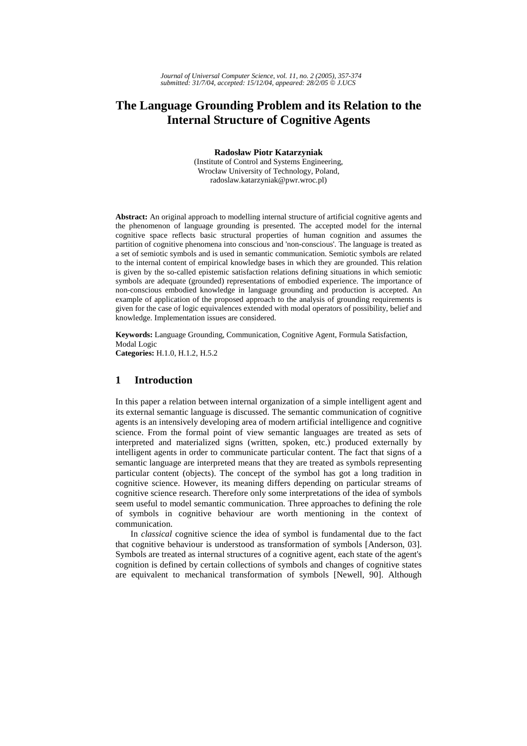# **The Language Grounding Problem and its Relation to the Internal Structure of Cognitive Agents**

**Radosław Piotr Katarzyniak** 

(Institute of Control and Systems Engineering, Wrocław University of Technology, Poland, radoslaw.katarzyniak@pwr.wroc.pl)

**Abstract:** An original approach to modelling internal structure of artificial cognitive agents and the phenomenon of language grounding is presented. The accepted model for the internal cognitive space reflects basic structural properties of human cognition and assumes the partition of cognitive phenomena into conscious and 'non-conscious'. The language is treated as a set of semiotic symbols and is used in semantic communication. Semiotic symbols are related to the internal content of empirical knowledge bases in which they are grounded. This relation is given by the so-called epistemic satisfaction relations defining situations in which semiotic symbols are adequate (grounded) representations of embodied experience. The importance of non-conscious embodied knowledge in language grounding and production is accepted. An example of application of the proposed approach to the analysis of grounding requirements is given for the case of logic equivalences extended with modal operators of possibility, belief and knowledge. Implementation issues are considered.

**Keywords:** Language Grounding, Communication, Cognitive Agent, Formula Satisfaction, Modal Logic **Categories:** H.1.0, H.1.2, H.5.2

# **1 Introduction**

In this paper a relation between internal organization of a simple intelligent agent and its external semantic language is discussed. The semantic communication of cognitive agents is an intensively developing area of modern artificial intelligence and cognitive science. From the formal point of view semantic languages are treated as sets of interpreted and materialized signs (written, spoken, etc.) produced externally by intelligent agents in order to communicate particular content. The fact that signs of a semantic language are interpreted means that they are treated as symbols representing particular content (objects). The concept of the symbol has got a long tradition in cognitive science. However, its meaning differs depending on particular streams of cognitive science research. Therefore only some interpretations of the idea of symbols seem useful to model semantic communication. Three approaches to defining the role of symbols in cognitive behaviour are worth mentioning in the context of communication.

In *classical* cognitive science the idea of symbol is fundamental due to the fact that cognitive behaviour is understood as transformation of symbols [Anderson, 03]. Symbols are treated as internal structures of a cognitive agent, each state of the agent's cognition is defined by certain collections of symbols and changes of cognitive states are equivalent to mechanical transformation of symbols [Newell, 90]. Although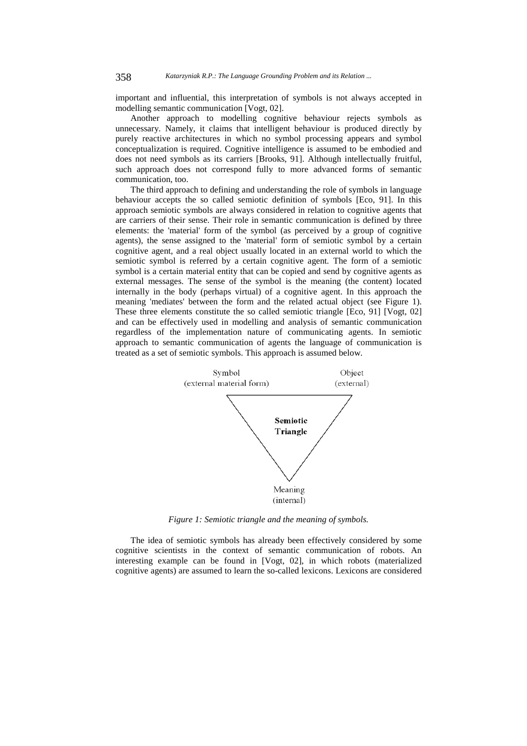important and influential, this interpretation of symbols is not always accepted in modelling semantic communication [Vogt, 02].

Another approach to modelling cognitive behaviour rejects symbols as unnecessary. Namely, it claims that intelligent behaviour is produced directly by purely reactive architectures in which no symbol processing appears and symbol conceptualization is required. Cognitive intelligence is assumed to be embodied and does not need symbols as its carriers [Brooks, 91]. Although intellectually fruitful, such approach does not correspond fully to more advanced forms of semantic communication, too.

The third approach to defining and understanding the role of symbols in language behaviour accepts the so called semiotic definition of symbols [Eco, 91]. In this approach semiotic symbols are always considered in relation to cognitive agents that are carriers of their sense. Their role in semantic communication is defined by three elements: the 'material' form of the symbol (as perceived by a group of cognitive agents), the sense assigned to the 'material' form of semiotic symbol by a certain cognitive agent, and a real object usually located in an external world to which the semiotic symbol is referred by a certain cognitive agent. The form of a semiotic symbol is a certain material entity that can be copied and send by cognitive agents as external messages. The sense of the symbol is the meaning (the content) located internally in the body (perhaps virtual) of a cognitive agent. In this approach the meaning 'mediates' between the form and the related actual object (see Figure 1). These three elements constitute the so called semiotic triangle [Eco, 91] [Vogt, 02] and can be effectively used in modelling and analysis of semantic communication regardless of the implementation nature of communicating agents. In semiotic approach to semantic communication of agents the language of communication is treated as a set of semiotic symbols. This approach is assumed below.



*Figure 1: Semiotic triangle and the meaning of symbols.* 

The idea of semiotic symbols has already been effectively considered by some cognitive scientists in the context of semantic communication of robots. An interesting example can be found in [Vogt, 02], in which robots (materialized cognitive agents) are assumed to learn the so-called lexicons. Lexicons are considered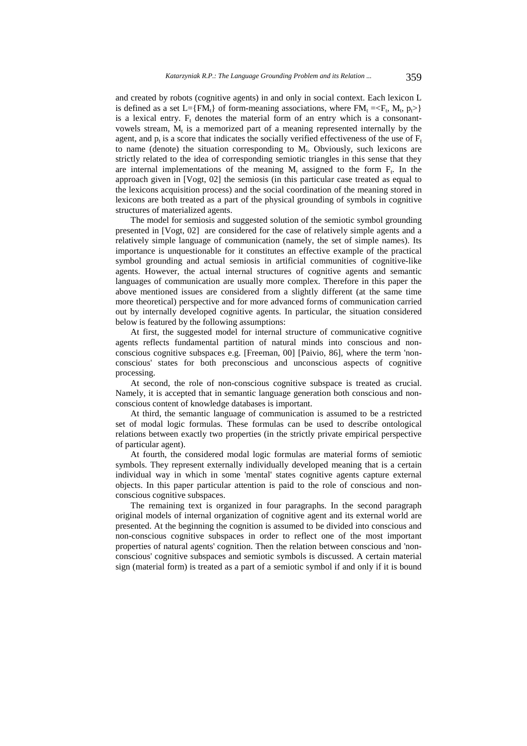and created by robots (cognitive agents) in and only in social context. Each lexicon L is defined as a set  $L = \{FM_t\}$  of form-meaning associations, where  $FM_t = \langle F_t, M_t, p_t \rangle\}$ is a lexical entry.  $F_t$  denotes the material form of an entry which is a consonantvowels stream,  $M_t$  is a memorized part of a meaning represented internally by the agent, and  $p_t$  is a score that indicates the socially verified effectiveness of the use of  $F_t$ to name (denote) the situation corresponding to  $M_t$ . Obviously, such lexicons are strictly related to the idea of corresponding semiotic triangles in this sense that they are internal implementations of the meaning  $M_t$  assigned to the form  $F_t$ . In the approach given in [Vogt, 02] the semiosis (in this particular case treated as equal to the lexicons acquisition process) and the social coordination of the meaning stored in lexicons are both treated as a part of the physical grounding of symbols in cognitive structures of materialized agents.

The model for semiosis and suggested solution of the semiotic symbol grounding presented in [Vogt, 02] are considered for the case of relatively simple agents and a relatively simple language of communication (namely, the set of simple names). Its importance is unquestionable for it constitutes an effective example of the practical symbol grounding and actual semiosis in artificial communities of cognitive-like agents. However, the actual internal structures of cognitive agents and semantic languages of communication are usually more complex. Therefore in this paper the above mentioned issues are considered from a slightly different (at the same time more theoretical) perspective and for more advanced forms of communication carried out by internally developed cognitive agents. In particular, the situation considered below is featured by the following assumptions:

At first, the suggested model for internal structure of communicative cognitive agents reflects fundamental partition of natural minds into conscious and nonconscious cognitive subspaces e.g. [Freeman, 00] [Paivio, 86], where the term 'nonconscious' states for both preconscious and unconscious aspects of cognitive processing.

At second, the role of non-conscious cognitive subspace is treated as crucial. Namely, it is accepted that in semantic language generation both conscious and nonconscious content of knowledge databases is important.

At third, the semantic language of communication is assumed to be a restricted set of modal logic formulas. These formulas can be used to describe ontological relations between exactly two properties (in the strictly private empirical perspective of particular agent).

At fourth, the considered modal logic formulas are material forms of semiotic symbols. They represent externally individually developed meaning that is a certain individual way in which in some 'mental' states cognitive agents capture external objects. In this paper particular attention is paid to the role of conscious and nonconscious cognitive subspaces.

The remaining text is organized in four paragraphs. In the second paragraph original models of internal organization of cognitive agent and its external world are presented. At the beginning the cognition is assumed to be divided into conscious and non-conscious cognitive subspaces in order to reflect one of the most important properties of natural agents' cognition. Then the relation between conscious and 'nonconscious' cognitive subspaces and semiotic symbols is discussed. A certain material sign (material form) is treated as a part of a semiotic symbol if and only if it is bound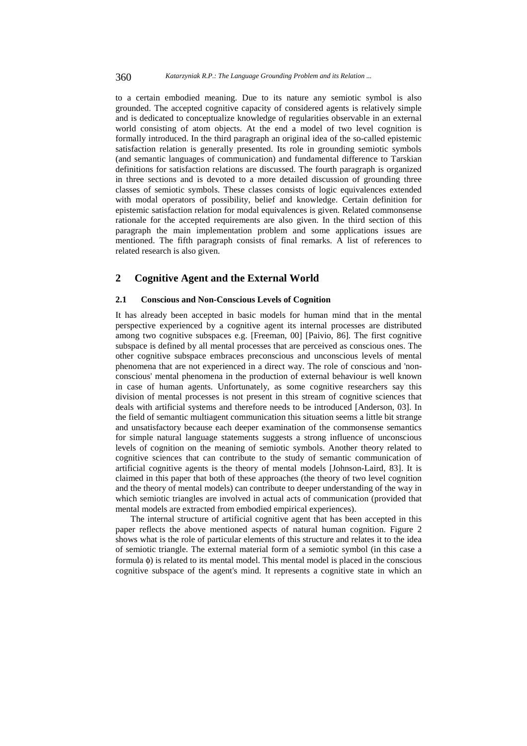to a certain embodied meaning. Due to its nature any semiotic symbol is also grounded. The accepted cognitive capacity of considered agents is relatively simple and is dedicated to conceptualize knowledge of regularities observable in an external world consisting of atom objects. At the end a model of two level cognition is formally introduced. In the third paragraph an original idea of the so-called epistemic satisfaction relation is generally presented. Its role in grounding semiotic symbols (and semantic languages of communication) and fundamental difference to Tarskian definitions for satisfaction relations are discussed. The fourth paragraph is organized in three sections and is devoted to a more detailed discussion of grounding three classes of semiotic symbols. These classes consists of logic equivalences extended with modal operators of possibility, belief and knowledge. Certain definition for epistemic satisfaction relation for modal equivalences is given. Related commonsense rationale for the accepted requirements are also given. In the third section of this paragraph the main implementation problem and some applications issues are mentioned. The fifth paragraph consists of final remarks. A list of references to related research is also given.

### **2 Cognitive Agent and the External World**

#### **2.1 Conscious and Non-Conscious Levels of Cognition**

It has already been accepted in basic models for human mind that in the mental perspective experienced by a cognitive agent its internal processes are distributed among two cognitive subspaces e.g. [Freeman, 00] [Paivio, 86]. The first cognitive subspace is defined by all mental processes that are perceived as conscious ones. The other cognitive subspace embraces preconscious and unconscious levels of mental phenomena that are not experienced in a direct way. The role of conscious and 'nonconscious' mental phenomena in the production of external behaviour is well known in case of human agents. Unfortunately, as some cognitive researchers say this division of mental processes is not present in this stream of cognitive sciences that deals with artificial systems and therefore needs to be introduced [Anderson, 03]. In the field of semantic multiagent communication this situation seems a little bit strange and unsatisfactory because each deeper examination of the commonsense semantics for simple natural language statements suggests a strong influence of unconscious levels of cognition on the meaning of semiotic symbols. Another theory related to cognitive sciences that can contribute to the study of semantic communication of artificial cognitive agents is the theory of mental models [Johnson-Laird, 83]. It is claimed in this paper that both of these approaches (the theory of two level cognition and the theory of mental models) can contribute to deeper understanding of the way in which semiotic triangles are involved in actual acts of communication (provided that mental models are extracted from embodied empirical experiences).

The internal structure of artificial cognitive agent that has been accepted in this paper reflects the above mentioned aspects of natural human cognition. Figure 2 shows what is the role of particular elements of this structure and relates it to the idea of semiotic triangle. The external material form of a semiotic symbol (in this case a formula φ) is related to its mental model. This mental model is placed in the conscious cognitive subspace of the agent's mind. It represents a cognitive state in which an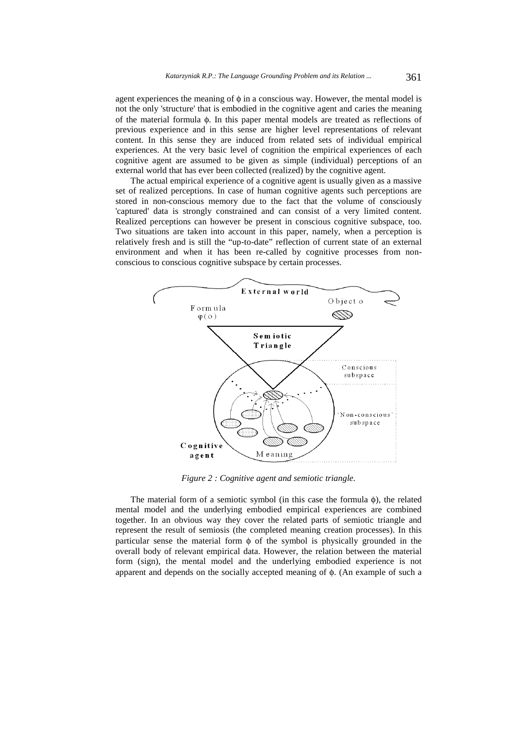agent experiences the meaning of  $\phi$  in a conscious way. However, the mental model is not the only 'structure' that is embodied in the cognitive agent and caries the meaning of the material formula φ. In this paper mental models are treated as reflections of previous experience and in this sense are higher level representations of relevant content. In this sense they are induced from related sets of individual empirical experiences. At the very basic level of cognition the empirical experiences of each cognitive agent are assumed to be given as simple (individual) perceptions of an external world that has ever been collected (realized) by the cognitive agent.

The actual empirical experience of a cognitive agent is usually given as a massive set of realized perceptions. In case of human cognitive agents such perceptions are stored in non-conscious memory due to the fact that the volume of consciously 'captured' data is strongly constrained and can consist of a very limited content. Realized perceptions can however be present in conscious cognitive subspace, too. Two situations are taken into account in this paper, namely, when a perception is relatively fresh and is still the "up-to-date" reflection of current state of an external environment and when it has been re-called by cognitive processes from nonconscious to conscious cognitive subspace by certain processes.



*Figure 2 : Cognitive agent and semiotic triangle.* 

The material form of a semiotic symbol (in this case the formula  $\phi$ ), the related mental model and the underlying embodied empirical experiences are combined together. In an obvious way they cover the related parts of semiotic triangle and represent the result of semiosis (the completed meaning creation processes). In this particular sense the material form  $\phi$  of the symbol is physically grounded in the overall body of relevant empirical data. However, the relation between the material form (sign), the mental model and the underlying embodied experience is not apparent and depends on the socially accepted meaning of φ. (An example of such a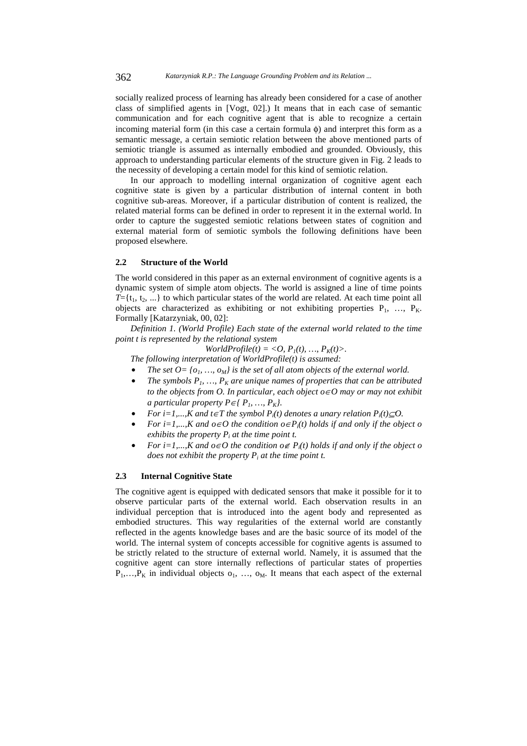362 *Katarzyniak R.P.: The Language Grounding Problem and its Relation ...*

socially realized process of learning has already been considered for a case of another class of simplified agents in [Vogt, 02].) It means that in each case of semantic communication and for each cognitive agent that is able to recognize a certain incoming material form (in this case a certain formula  $\phi$ ) and interpret this form as a semantic message, a certain semiotic relation between the above mentioned parts of semiotic triangle is assumed as internally embodied and grounded. Obviously, this approach to understanding particular elements of the structure given in Fig. 2 leads to the necessity of developing a certain model for this kind of semiotic relation.

In our approach to modelling internal organization of cognitive agent each cognitive state is given by a particular distribution of internal content in both cognitive sub-areas. Moreover, if a particular distribution of content is realized, the related material forms can be defined in order to represent it in the external world. In order to capture the suggested semiotic relations between states of cognition and external material form of semiotic symbols the following definitions have been proposed elsewhere.

### **2.2 Structure of the World**

The world considered in this paper as an external environment of cognitive agents is a dynamic system of simple atom objects. The world is assigned a line of time points  $T=\{t_1, t_2, ...\}$  to which particular states of the world are related. At each time point all objects are characterized as exhibiting or not exhibiting properties  $P_1$ , ...,  $P_K$ . Formally [Katarzyniak, 00, 02]:

*Definition 1. (World Profile) Each state of the external world related to the time point t is represented by the relational system* 

 $WorldProfile(t) = <0, P_1(t), ..., P_K(t)$ .

*The following interpretation of WorldProfile(t) is assumed:* 

- The set  $O = \{o_1, ..., o_M\}$  is the set of all atom objects of the external world.
- *The symbols*  $P_1$ *, ...,*  $P_K$  *are unique names of properties that can be attributed to the objects from O. In particular, each object o*∈*O may or may not exhibit a particular property P∈{ P<sub>1</sub>, ..., P<sub>K</sub>}.*
- *For i*=1,...,*K* and  $t \in T$  the symbol  $P_i(t)$  denotes a unary relation  $P_i(t) \subseteq O$ .
- *For i*=1,...,*K* and  $o \in O$  the condition  $o \in P_i(t)$  holds if and only if the object o *exhibits the property*  $P_i$  *at the time point t.*
- *For i*=1,...,*K* and  $o \in O$  the condition  $o \notin P_i(t)$  holds if and only if the object o *does not exhibit the property*  $P_i$  *at the time point t.*

### **2.3 Internal Cognitive State**

The cognitive agent is equipped with dedicated sensors that make it possible for it to observe particular parts of the external world. Each observation results in an individual perception that is introduced into the agent body and represented as embodied structures. This way regularities of the external world are constantly reflected in the agents knowledge bases and are the basic source of its model of the world. The internal system of concepts accessible for cognitive agents is assumed to be strictly related to the structure of external world. Namely, it is assumed that the cognitive agent can store internally reflections of particular states of properties  $P_1, \ldots, P_K$  in individual objects  $o_1, \ldots, o_M$ . It means that each aspect of the external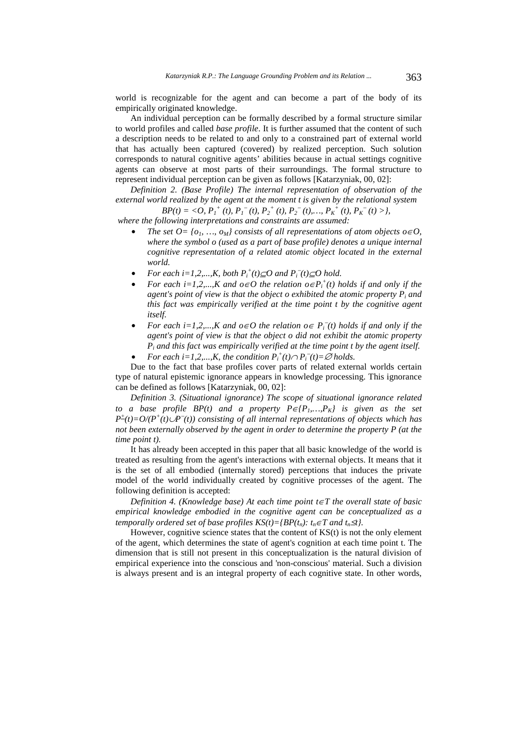world is recognizable for the agent and can become a part of the body of its empirically originated knowledge.

An individual perception can be formally described by a formal structure similar to world profiles and called *base profile*. It is further assumed that the content of such a description needs to be related to and only to a constrained part of external world that has actually been captured (covered) by realized perception. Such solution corresponds to natural cognitive agents' abilities because in actual settings cognitive agents can observe at most parts of their surroundings. The formal structure to represent individual perception can be given as follows [Katarzyniak, 00, 02]:

*Definition 2. (Base Profile) The internal representation of observation of the external world realized by the agent at the moment t is given by the relational system* 

 $BP(t) = < O, P_1^+(t), P_1^-(t), P_2^+(t), P_2^-(t), ..., P_K^+(t), P_K^-(t) > \},$ 

 *where the following interpretations and constraints are assumed:* 

- *The set O= {* $o_1$ *, ...,*  $o_M$ *} consists of all representations of atom objects o*∈*O*, *where the symbol o (used as a part of base profile) denotes a unique internal cognitive representation of a related atomic object located in the external world.*
- *For each i=1,2,...,K, both*  $P_i^+(t) \subseteq O$  and  $P_i^-(t) \subseteq O$  hold.
- *For each i=1,2,...,K and*  $o \in O$  *the relation*  $o \in P_i^+(t)$  *holds if and only if the agent's point of view is that the object o exhibited the atomic property*  $P_i$  *and this fact was empirically verified at the time point t by the cognitive agent itself.*
- *For each i*=1,2,...,*K* and  $o \in O$  the relation  $o \in P_i^-(t)$  holds if and only if the *agent's point of view is that the object o did not exhibit the atomic property Pi and this fact was empirically verified at the time point t by the agent itself.*
- *For each i*=1,2,...,*K*, the condition  $P_i^+(t) \cap P_i^-(t) = \emptyset$  holds.

Due to the fact that base profiles cover parts of related external worlds certain type of natural epistemic ignorance appears in knowledge processing. This ignorance can be defined as follows [Katarzyniak, 00, 02]:

*Definition 3. (Situational ignorance) The scope of situational ignorance related to a base profile BP(t) and a property*  $P \in \{P_1, ..., P_K\}$  *is given as the set*  $P^{\pm}(t) = O(P^+(t) \cup P^-(t))$  consisting of all internal representations of objects which has *not been externally observed by the agent in order to determine the property P (at the time point t).* 

It has already been accepted in this paper that all basic knowledge of the world is treated as resulting from the agent's interactions with external objects. It means that it is the set of all embodied (internally stored) perceptions that induces the private model of the world individually created by cognitive processes of the agent. The following definition is accepted:

*Definition 4. (Knowledge base) At each time point t∈T the overall state of basic empirical knowledge embodied in the cognitive agent can be conceptualized as a temporally ordered set of base profiles KS(t)={BP(t<sub>n</sub>):*  $t_n \in T$  *and*  $t_n \leq t$ *}.* 

However, cognitive science states that the content of  $KS(t)$  is not the only element of the agent, which determines the state of agent's cognition at each time point t. The dimension that is still not present in this conceptualization is the natural division of empirical experience into the conscious and 'non-conscious' material. Such a division is always present and is an integral property of each cognitive state. In other words,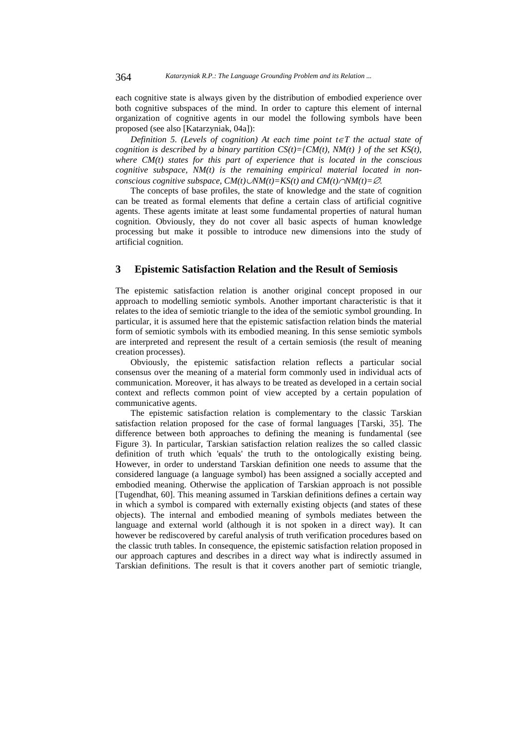each cognitive state is always given by the distribution of embodied experience over both cognitive subspaces of the mind. In order to capture this element of internal organization of cognitive agents in our model the following symbols have been proposed (see also [Katarzyniak, 04a]):

*Definition 5. (Levels of cognition) At each time point t∈T the actual state of cognition is described by a binary partition CS(t)={CM(t), NM(t) } of the set KS(t), where CM(t) states for this part of experience that is located in the conscious cognitive subspace, NM(t) is the remaining empirical material located in nonconscious cognitive subspace, CM(t)∪NM(t)=KS(t) and CM(t)∩NM(t)=* $\varnothing$ *.* 

The concepts of base profiles, the state of knowledge and the state of cognition can be treated as formal elements that define a certain class of artificial cognitive agents. These agents imitate at least some fundamental properties of natural human cognition. Obviously, they do not cover all basic aspects of human knowledge processing but make it possible to introduce new dimensions into the study of artificial cognition.

## **3 Epistemic Satisfaction Relation and the Result of Semiosis**

The epistemic satisfaction relation is another original concept proposed in our approach to modelling semiotic symbols. Another important characteristic is that it relates to the idea of semiotic triangle to the idea of the semiotic symbol grounding. In particular, it is assumed here that the epistemic satisfaction relation binds the material form of semiotic symbols with its embodied meaning. In this sense semiotic symbols are interpreted and represent the result of a certain semiosis (the result of meaning creation processes).

Obviously, the epistemic satisfaction relation reflects a particular social consensus over the meaning of a material form commonly used in individual acts of communication. Moreover, it has always to be treated as developed in a certain social context and reflects common point of view accepted by a certain population of communicative agents.

The epistemic satisfaction relation is complementary to the classic Tarskian satisfaction relation proposed for the case of formal languages [Tarski, 35]. The difference between both approaches to defining the meaning is fundamental (see Figure 3). In particular, Tarskian satisfaction relation realizes the so called classic definition of truth which 'equals' the truth to the ontologically existing being. However, in order to understand Tarskian definition one needs to assume that the considered language (a language symbol) has been assigned a socially accepted and embodied meaning. Otherwise the application of Tarskian approach is not possible [Tugendhat, 60]. This meaning assumed in Tarskian definitions defines a certain way in which a symbol is compared with externally existing objects (and states of these objects). The internal and embodied meaning of symbols mediates between the language and external world (although it is not spoken in a direct way). It can however be rediscovered by careful analysis of truth verification procedures based on the classic truth tables. In consequence, the epistemic satisfaction relation proposed in our approach captures and describes in a direct way what is indirectly assumed in Tarskian definitions. The result is that it covers another part of semiotic triangle,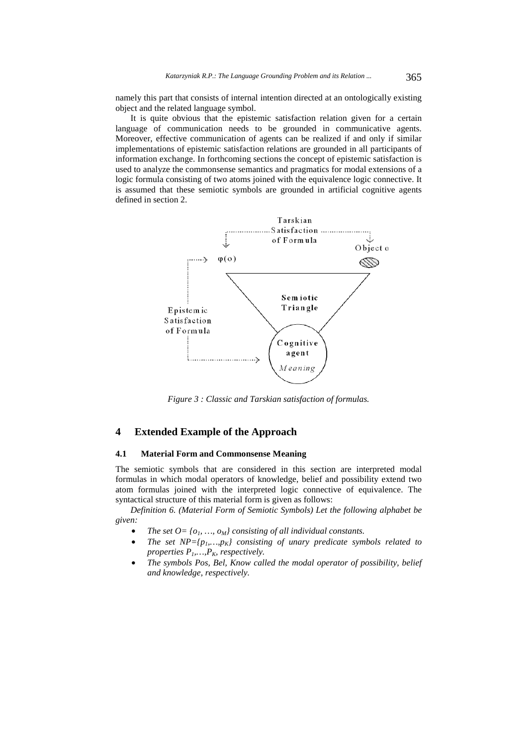namely this part that consists of internal intention directed at an ontologically existing object and the related language symbol.

It is quite obvious that the epistemic satisfaction relation given for a certain language of communication needs to be grounded in communicative agents. Moreover, effective communication of agents can be realized if and only if similar implementations of epistemic satisfaction relations are grounded in all participants of information exchange. In forthcoming sections the concept of epistemic satisfaction is used to analyze the commonsense semantics and pragmatics for modal extensions of a logic formula consisting of two atoms joined with the equivalence logic connective. It is assumed that these semiotic symbols are grounded in artificial cognitive agents defined in section 2.



*Figure 3 : Classic and Tarskian satisfaction of formulas.* 

## **4 Extended Example of the Approach**

#### **4.1 Material Form and Commonsense Meaning**

The semiotic symbols that are considered in this section are interpreted modal formulas in which modal operators of knowledge, belief and possibility extend two atom formulas joined with the interpreted logic connective of equivalence. The syntactical structure of this material form is given as follows:

*Definition 6. (Material Form of Semiotic Symbols) Let the following alphabet be given:* 

- The set  $O = \{o_1, ..., o_M\}$  consisting of all individual constants.
- The set  $NP = \{p_1, \ldots, p_k\}$  consisting of unary predicate symbols related to *properties*  $P_1, \ldots, P_K$ , *respectively.*
- *The symbols Pos, Bel, Know called the modal operator of possibility, belief and knowledge, respectively.*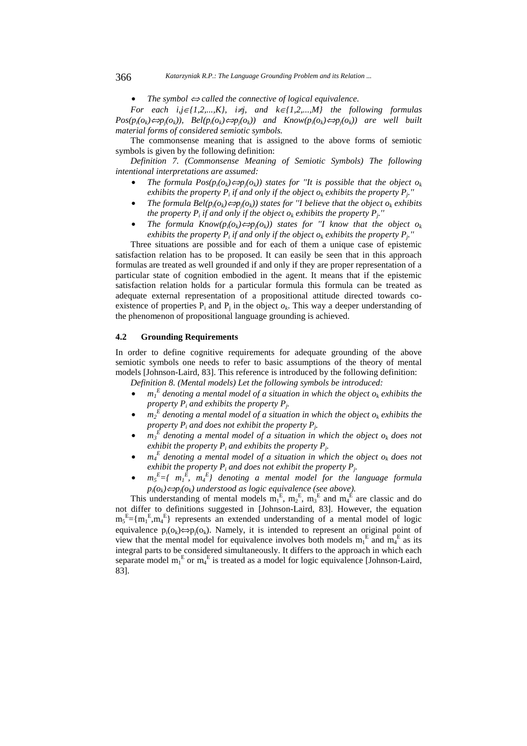#### 366 *Katarzyniak R.P.: The Language Grounding Problem and its Relation ...*

• *The symbol* ⇔ *called the connective of logical equivalence.* 

*For each i,j*∈*{1,2,...,K}, i*≠*j, and k*∈*{1,2,...,M} the following formulas Pos(p<sub>i</sub>*(*o<sub>k</sub>*)⇔*p<sub>i</sub>*(*o<sub>k</sub>*)), *Bel(p<sub>i</sub>*(*o<sub>k</sub>*)⇔*p<sub>i</sub>*(*o<sub>k</sub>)*) *and Know(p<sub>i</sub>*(*o<sub>k</sub>*)⇔*p<sub>i</sub>*(*o<sub>k</sub>*)) *are well built material forms of considered semiotic symbols.* 

The commonsense meaning that is assigned to the above forms of semiotic symbols is given by the following definition:

*Definition 7. (Commonsense Meaning of Semiotic Symbols) The following intentional interpretations are assumed:* 

- *The formula Pos* $(p_i(o_k) \Leftrightarrow p_j(o_k))$  states for ''It is possible that the object  $o_k$ *exhibits the property P<sub>i</sub> if and only if the object*  $o_k$  *exhibits the property P<sub>i</sub>.''*
- *The formula Bel(p<sub>i</sub>(o<sub>k</sub>)* $\Leftrightarrow$  $p_i(o_k)$ *) states for ''I believe that the object o<sub>k</sub> exhibits the property P<sub>i</sub> if and only if the object*  $o_k$  *exhibits the property P<sub>i</sub>.''*
- *The formula Know*( $p_i(o_k) \Leftrightarrow p_i(o_k)$ ) states for '*I* know that the object  $o_k$ *exhibits the property P<sub>i</sub> if and only if the object*  $o_k$  *exhibits the property P<sub>i</sub>.''*

Three situations are possible and for each of them a unique case of epistemic satisfaction relation has to be proposed. It can easily be seen that in this approach formulas are treated as well grounded if and only if they are proper representation of a particular state of cognition embodied in the agent. It means that if the epistemic satisfaction relation holds for a particular formula this formula can be treated as adequate external representation of a propositional attitude directed towards coexistence of properties  $P_i$  and  $P_j$  in the object  $o_k$ . This way a deeper understanding of the phenomenon of propositional language grounding is achieved.

### **4.2 Grounding Requirements**

In order to define cognitive requirements for adequate grounding of the above semiotic symbols one needs to refer to basic assumptions of the theory of mental models [Johnson-Laird, 83]. This reference is introduced by the following definition:

*Definition 8. (Mental models) Let the following symbols be introduced:* 

- $m_1^E$  denoting a mental model of a situation in which the object  $o_k$  exhibits the *property Pi and exhibits the property Pj.*
- $m_2^E$  denoting a mental model of a situation in which the object  $o_k$  exhibits the *property*  $P_i$  *and does not exhibit the property*  $P_i$ *.*
- $m_3^E$  denoting a mental model of a situation in which the object  $o_k$  does not *exhibit the property*  $P_i$  *and exhibits the property*  $P_i$ *.*
- $m_4^E$  denoting a mental model of a situation in which the object  $o_k$  does not *exhibit the property*  $P_i$  *and does not exhibit the property*  $P_i$
- $m_5^E = \{ m_1^E, m_4^E \}$  denoting a mental model for the language formula  $p_i(o_k) \Leftrightarrow p_j(o_k)$  understood as logic equivalence (see above).

This understanding of mental models  $m_1^E$ ,  $m_2^E$ ,  $m_3^E$  and  $m_4^E$  are classic and do not differ to definitions suggested in [Johnson-Laird, 83]. However, the equation  $m_5^E = \{m_1^E, m_4^E\}$  represents an extended understanding of a mental model of logic equivalence  $p_i(o_k) \Leftrightarrow p_i(o_k)$ . Namely, it is intended to represent an original point of view that the mental model for equivalence involves both models  $m_1^E$  and  $m_4^E$  as its integral parts to be considered simultaneously. It differs to the approach in which each separate model  $m_1^E$  or  $m_4^E$  is treated as a model for logic equivalence [Johnson-Laird, 83].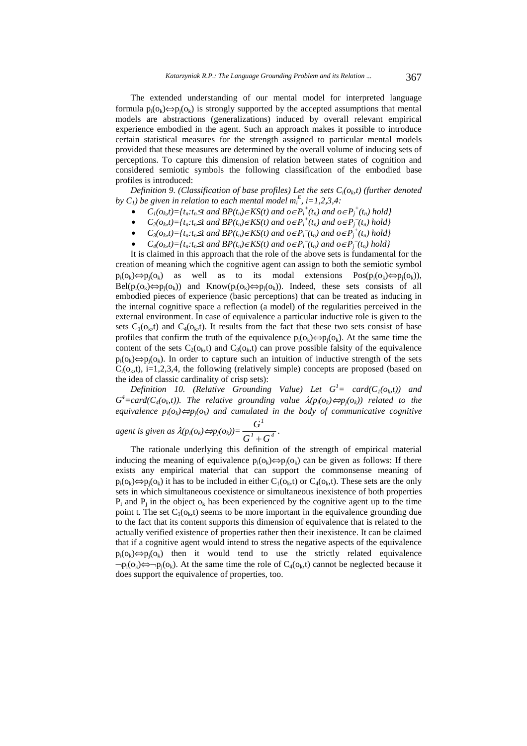The extended understanding of our mental model for interpreted language formula  $p_i(o_k) \Leftrightarrow p_i(o_k)$  is strongly supported by the accepted assumptions that mental models are abstractions (generalizations) induced by overall relevant empirical experience embodied in the agent. Such an approach makes it possible to introduce certain statistical measures for the strength assigned to particular mental models provided that these measures are determined by the overall volume of inducing sets of perceptions. To capture this dimension of relation between states of cognition and considered semiotic symbols the following classification of the embodied base profiles is introduced:

*Definition 9. (Classification of base profiles) Let the sets*  $C_i(o_k, t)$  *(further denoted by*  $C_1$ *) be given in relation to each mental model*  $m_i^E$ *, i=1,2,3,4:* 

- *C<sub>1</sub>*( $o_k$ *t*)={ $t_n$ : $t_n$ ≤*t* and  $BP(t_n) \in KS(t)$  and  $o \in P_i^+(t_n)$  and  $o \in P_j^+(t_n)$  hold}
- *C*<sub>2</sub>( $o_k$ *t*)={ $t_n$ *:* $t_n$ ≤*t* and  $BP(t_n) \in KS(t)$  and  $o \in P_i^+(t_n)$  and  $o \in P_j^-(t_n)$  hold}
- *C<sub>3</sub>*( $o_k$ *t*)={ $t_n$ : $t_n$  $\leq t$  and  $BP$ ( $t_n$ ) $\in$ *KS*( $t$ ) and  $o \in P_i^-(t_n)$  and  $o \in P_j^+(t_n)$  hold}
- *C<sub>4</sub>*( $o_k t$ )={ $t_n$ : $t_n \leq t$  and  $BP(t_n) \in KS(t)$  and  $o \in P_i^-(t_n)$  and  $o \in P_j^-(t_n)$  hold}

It is claimed in this approach that the role of the above sets is fundamental for the creation of meaning which the cognitive agent can assign to both the semiotic symbol  $p_i(o_k) \Leftrightarrow p_i(o_k)$  as well as to its modal extensions  $Pos(p_i(o_k) \Leftrightarrow p_i(o_k))$ ,  $Bel(p_i(o_k) \Leftrightarrow p_i(o_k))$  and Know( $p_i(o_k) \Leftrightarrow p_i(o_k)$ ). Indeed, these sets consists of all embodied pieces of experience (basic perceptions) that can be treated as inducing in the internal cognitive space a reflection (a model) of the regularities perceived in the external environment. In case of equivalence a particular inductive role is given to the sets  $C_1(o_k,t)$  and  $C_4(o_k,t)$ . It results from the fact that these two sets consist of base profiles that confirm the truth of the equivalence  $p_i(o_k) \Leftrightarrow p_i(o_k)$ . At the same time the content of the sets  $C_2(o_k, t)$  and  $C_3(o_k, t)$  can prove possible falsity of the equivalence  $p_i(o_k) \Leftrightarrow p_i(o_k)$ . In order to capture such an intuition of inductive strength of the sets  $C_i(o_k,t)$ , i=1,2,3,4, the following (relatively simple) concepts are proposed (based on the idea of classic cardinality of crisp sets):

*Definition 10.* (Relative Grounding Value) Let  $G^{\prime} = \text{card}(C_I(o_k, t))$  and  $G^4 = \text{card}(C_4(o_k, t))$ . The relative grounding value  $\lambda(p_i(o_k) \Leftrightarrow p_j(o_k))$  related to the *equivalence*  $p_i(o_k) \Leftrightarrow p_i(o_k)$  and cumulated in the body of communicative cognitive

agent is given as 
$$
\lambda(p_i(o_k) \Leftrightarrow p_j(o_k)) = \frac{G^l}{G^l + G^4}
$$
.

The rationale underlying this definition of the strength of empirical material inducing the meaning of equivalence  $p_i(o_k) \Leftrightarrow p_i(o_k)$  can be given as follows: If there exists any empirical material that can support the commonsense meaning of  $p_i(o_k) \Leftrightarrow p_i(o_k)$  it has to be included in either  $C_1(o_k,t)$  or  $C_4(o_k,t)$ . These sets are the only sets in which simultaneous coexistence or simultaneous inexistence of both properties  $P_i$  and  $P_j$  in the object  $o_k$  has been experienced by the cognitive agent up to the time point t. The set  $C_1(o_k,t)$  seems to be more important in the equivalence grounding due to the fact that its content supports this dimension of equivalence that is related to the actually verified existence of properties rather then their inexistence. It can be claimed that if a cognitive agent would intend to stress the negative aspects of the equivalence  $p_i(o_k) \Leftrightarrow p_i(o_k)$  then it would tend to use the strictly related equivalence  $\neg p_i(o_k) \Leftrightarrow \neg p_i(o_k)$ . At the same time the role of  $C_4(o_k,t)$  cannot be neglected because it does support the equivalence of properties, too.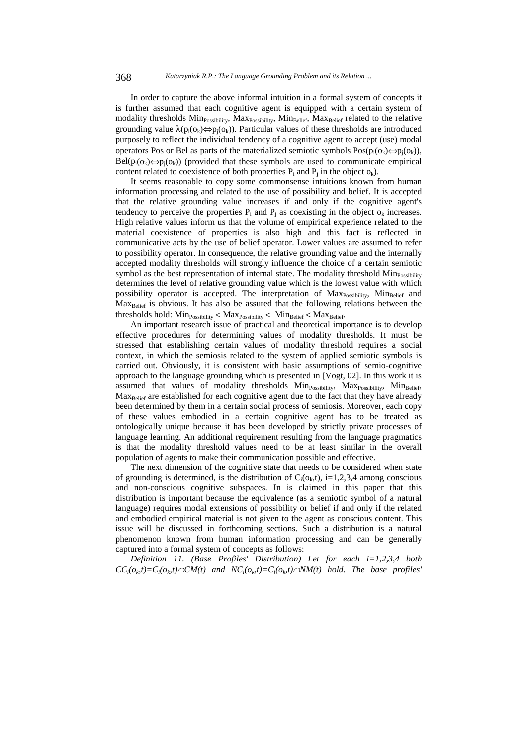In order to capture the above informal intuition in a formal system of concepts it is further assumed that each cognitive agent is equipped with a certain system of modality thresholds  $Min_{Possibility}$ ,  $Max_{Possibility}$ ,  $Min_{Belief}$ ,  $Max_{Belief}$  related to the relative grounding value  $\lambda(p_i(o_k) \Leftrightarrow p_i(o_k))$ . Particular values of these thresholds are introduced purposely to reflect the individual tendency of a cognitive agent to accept (use) modal operators Pos or Bel as parts of the materialized semiotic symbols  $Pos(p_i(o_k) \Leftrightarrow p_i(o_k))$ ,  $Bel(p_i(o_k) \Leftrightarrow p_i(o_k))$  (provided that these symbols are used to communicate empirical content related to coexistence of both properties  $P_i$  and  $P_j$  in the object  $o_k$ ).

It seems reasonable to copy some commonsense intuitions known from human information processing and related to the use of possibility and belief. It is accepted that the relative grounding value increases if and only if the cognitive agent's tendency to perceive the properties  $P_i$  and  $P_j$  as coexisting in the object  $o_k$  increases. High relative values inform us that the volume of empirical experience related to the material coexistence of properties is also high and this fact is reflected in communicative acts by the use of belief operator. Lower values are assumed to refer to possibility operator. In consequence, the relative grounding value and the internally accepted modality thresholds will strongly influence the choice of a certain semiotic symbol as the best representation of internal state. The modality threshold Min<sub>Possibility</sub> determines the level of relative grounding value which is the lowest value with which possibility operator is accepted. The interpretation of Max<sub>Possibility</sub>, Min<sub>Belief</sub> and Max<sub>Belief</sub> is obvious. It has also be assured that the following relations between the thresholds hold:  $Min_{Possibility} < Max_{Possibility} < Min_{Belief} < Max_{Belief}$ .

An important research issue of practical and theoretical importance is to develop effective procedures for determining values of modality thresholds. It must be stressed that establishing certain values of modality threshold requires a social context, in which the semiosis related to the system of applied semiotic symbols is carried out. Obviously, it is consistent with basic assumptions of semio-cognitive approach to the language grounding which is presented in [Vogt, 02]. In this work it is assumed that values of modality thresholds Min<sub>Possibility</sub>, Max<sub>Possibility</sub>, Min<sub>Belief</sub>, Max<sub>Belief</sub> are established for each cognitive agent due to the fact that they have already been determined by them in a certain social process of semiosis. Moreover, each copy of these values embodied in a certain cognitive agent has to be treated as ontologically unique because it has been developed by strictly private processes of language learning. An additional requirement resulting from the language pragmatics is that the modality threshold values need to be at least similar in the overall population of agents to make their communication possible and effective.

The next dimension of the cognitive state that needs to be considered when state of grounding is determined, is the distribution of  $C_i(o_k, t)$ , i=1,2,3,4 among conscious and non-conscious cognitive subspaces. In is claimed in this paper that this distribution is important because the equivalence (as a semiotic symbol of a natural language) requires modal extensions of possibility or belief if and only if the related and embodied empirical material is not given to the agent as conscious content. This issue will be discussed in forthcoming sections. Such a distribution is a natural phenomenon known from human information processing and can be generally captured into a formal system of concepts as follows:

*Definition 11. (Base Profiles' Distribution) Let for each i=1,2,3,4 both*   $CC_i(o_k, t) = C_i(o_k, t) \cap CM(t)$  and  $NC_i(o_k, t) = C_i(o_k, t) \cap NM(t)$  hold. The base profiles'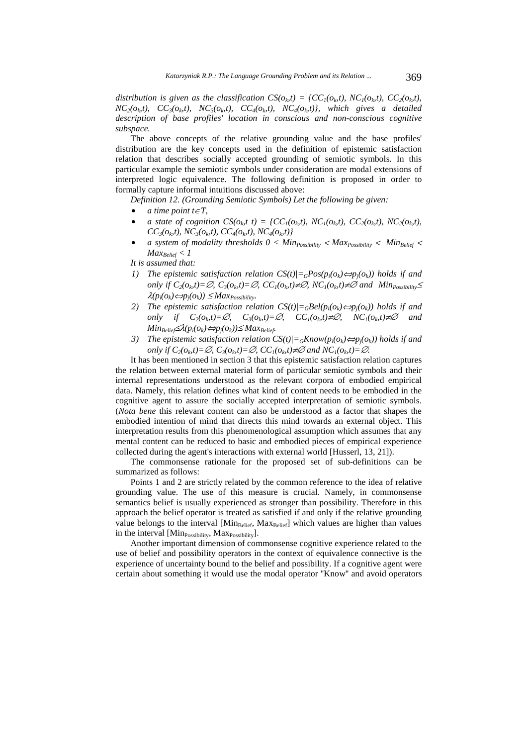*distribution is given as the classification*  $CS(o_k,t) = \{CC_1(o_k,t), NC_1(o_k,t), CC_2(o_k,t),\}$  $NC_2(o_k,t)$ ,  $CC_3(o_k,t)$ ,  $NC_3(o_k,t)$ ,  $CC_4(o_k,t)$ ,  $NC_4(o_k,t)$ , which gives a detailed *description of base profiles' location in conscious and non-conscious cognitive subspace.* 

The above concepts of the relative grounding value and the base profiles' distribution are the key concepts used in the definition of epistemic satisfaction relation that describes socially accepted grounding of semiotic symbols. In this particular example the semiotic symbols under consideration are modal extensions of interpreted logic equivalence. The following definition is proposed in order to formally capture informal intuitions discussed above:

*Definition 12. (Grounding Semiotic Symbols) Let the following be given:* 

- *a time point*  $t \in T$ *,*
- *a state of cognition*  $CS(o_k, t) = \{CC_i(o_k, t), NC_i(o_k, t), CC_2(o_k, t), NC_2(o_k, t)\}$  $CC_3(o_k, t)$ ,  $NC_3(o_k, t)$ ,  $CC_4(o_k, t)$ ,  $NC_4(o_k, t)$ }
- a system of modality thresholds  $0 < Min_{Possibility} < Max_{Possibility} < Min_{Belief} <$  $Max_{Belief} < 1$

*It is assumed that:* 

- *1)* The epistemic satisfaction relation  $CS(t)| = {}_G Pos(p_i(o_k) \Leftrightarrow p_j(o_k))$  holds if and *only if*  $C_2(o_k, t) = \emptyset$ ,  $C_3(o_k, t) = \emptyset$ ,  $CC_1(o_k, t) \neq \emptyset$ ,  $NC_1(o_k, t) \neq \emptyset$  and  $Min_{Possibility} \leq \emptyset$  $\lambda(p_i(o_k) \Longleftrightarrow p_i(o_k)) \leq Max_{possibility}$ .
- 2) The epistemic satisfaction relation  $CS(t)| = {}_GBe1(p_i(o_k) \Leftrightarrow p_i(o_k))$  holds if and *only if*  $C_2(o_k, t) = \emptyset$ ,  $C_3(o_k, t) = \emptyset$ ,  $CC_1(o_k, t) \neq \emptyset$ ,  $NC_1(o_k, t) \neq \emptyset$  and  $Min_{Belief} \leq \lambda(p_i(o_k) \Longleftrightarrow p_i(o_k)) \leq Max_{Belief.}$
- *3)* The epistemic satisfaction relation  $CS(t) = GKNow(p_i(o_k) \Leftrightarrow p_i(o_k))$  holds if and *only if*  $C_2(o_k, t) = \emptyset$ ,  $C_3(o_k, t) = \emptyset$ ,  $CC_1(o_k, t) \neq \emptyset$  and  $NC_1(o_k, t) = \emptyset$ .

It has been mentioned in section 3 that this epistemic satisfaction relation captures the relation between external material form of particular semiotic symbols and their internal representations understood as the relevant corpora of embodied empirical data. Namely, this relation defines what kind of content needs to be embodied in the cognitive agent to assure the socially accepted interpretation of semiotic symbols. (*Nota bene* this relevant content can also be understood as a factor that shapes the embodied intention of mind that directs this mind towards an external object. This interpretation results from this phenomenological assumption which assumes that any mental content can be reduced to basic and embodied pieces of empirical experience collected during the agent's interactions with external world [Husserl, 13, 21]).

The commonsense rationale for the proposed set of sub-definitions can be summarized as follows:

Points 1 and 2 are strictly related by the common reference to the idea of relative grounding value. The use of this measure is crucial. Namely, in commonsense semantics belief is usually experienced as stronger than possibility. Therefore in this approach the belief operator is treated as satisfied if and only if the relative grounding value belongs to the interval [Min<sub>Belief</sub>, Max<sub>Belief</sub>] which values are higher than values in the interval [Min<sub>Possibility</sub>, Max<sub>Possibility</sub>].

Another important dimension of commonsense cognitive experience related to the use of belief and possibility operators in the context of equivalence connective is the experience of uncertainty bound to the belief and possibility. If a cognitive agent were certain about something it would use the modal operator ''Know'' and avoid operators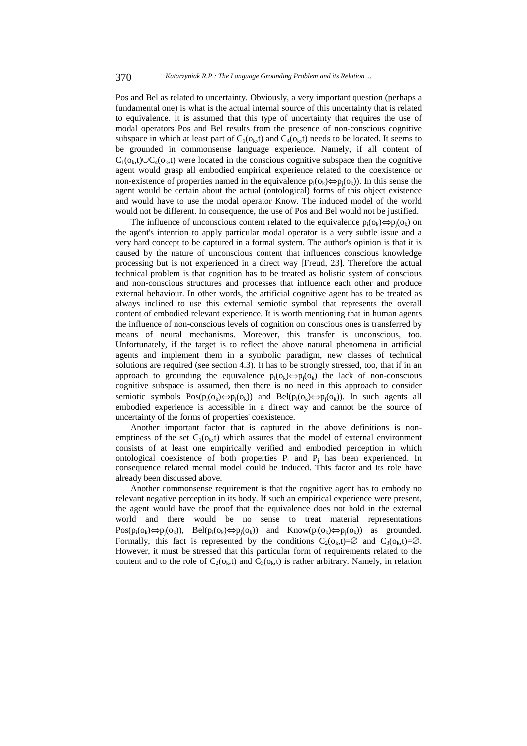Pos and Bel as related to uncertainty. Obviously, a very important question (perhaps a fundamental one) is what is the actual internal source of this uncertainty that is related to equivalence. It is assumed that this type of uncertainty that requires the use of modal operators Pos and Bel results from the presence of non-conscious cognitive subspace in which at least part of  $C_1(o_k,t)$  and  $C_4(o_k,t)$  needs to be located. It seems to be grounded in commonsense language experience. Namely, if all content of  $C_1(o_k,t) \cup C_4(o_k,t)$  were located in the conscious cognitive subspace then the cognitive agent would grasp all embodied empirical experience related to the coexistence or non-existence of properties named in the equivalence  $p_i(o_k) \Leftrightarrow p_i(o_k)$ ). In this sense the agent would be certain about the actual (ontological) forms of this object existence and would have to use the modal operator Know. The induced model of the world would not be different. In consequence, the use of Pos and Bel would not be justified.

The influence of unconscious content related to the equivalence  $p_i(o_k) \Leftrightarrow p_i(o_k)$  on the agent's intention to apply particular modal operator is a very subtle issue and a very hard concept to be captured in a formal system. The author's opinion is that it is caused by the nature of unconscious content that influences conscious knowledge processing but is not experienced in a direct way [Freud, 23]. Therefore the actual technical problem is that cognition has to be treated as holistic system of conscious and non-conscious structures and processes that influence each other and produce external behaviour. In other words, the artificial cognitive agent has to be treated as always inclined to use this external semiotic symbol that represents the overall content of embodied relevant experience. It is worth mentioning that in human agents the influence of non-conscious levels of cognition on conscious ones is transferred by means of neural mechanisms. Moreover, this transfer is unconscious, too. Unfortunately, if the target is to reflect the above natural phenomena in artificial agents and implement them in a symbolic paradigm, new classes of technical solutions are required (see section 4.3). It has to be strongly stressed, too, that if in an approach to grounding the equivalence  $p_i(o_k) \Leftrightarrow p_i(o_k)$  the lack of non-conscious cognitive subspace is assumed, then there is no need in this approach to consider semiotic symbols  $Pos(p_i(o_k) \Leftrightarrow p_i(o_k))$  and  $Bel(p_i(o_k) \Leftrightarrow p_i(o_k))$ . In such agents all embodied experience is accessible in a direct way and cannot be the source of uncertainty of the forms of properties' coexistence.

Another important factor that is captured in the above definitions is nonemptiness of the set  $C_1(o_k,t)$  which assures that the model of external environment consists of at least one empirically verified and embodied perception in which ontological coexistence of both properties  $P_i$  and  $P_j$  has been experienced. In consequence related mental model could be induced. This factor and its role have already been discussed above.

Another commonsense requirement is that the cognitive agent has to embody no relevant negative perception in its body. If such an empirical experience were present, the agent would have the proof that the equivalence does not hold in the external world and there would be no sense to treat material representations  $Pos(p_i(o_k) \Leftrightarrow p_i(o_k))$ ,  $Bel(p_i(o_k) \Leftrightarrow p_i(o_k))$  and  $Know(p_i(o_k) \Leftrightarrow p_i(o_k))$  as grounded. Formally, this fact is represented by the conditions  $C_2(o_k,t)=\emptyset$  and  $C_3(o_k,t)=\emptyset$ . However, it must be stressed that this particular form of requirements related to the content and to the role of  $C_2(o_k, t)$  and  $C_3(o_k, t)$  is rather arbitrary. Namely, in relation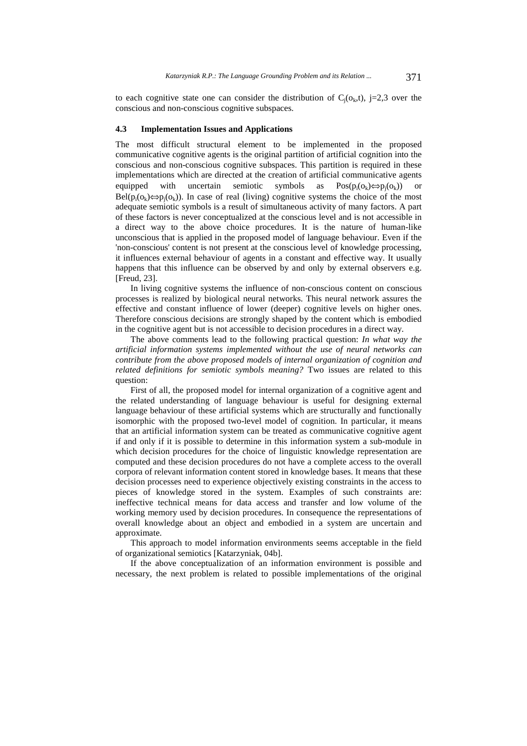to each cognitive state one can consider the distribution of  $C_i(o_k,t)$ , j=2,3 over the conscious and non-conscious cognitive subspaces.

#### **4.3 Implementation Issues and Applications**

The most difficult structural element to be implemented in the proposed communicative cognitive agents is the original partition of artificial cognition into the conscious and non-conscious cognitive subspaces. This partition is required in these implementations which are directed at the creation of artificial communicative agents equipped with uncertain semiotic symbols as  $Pos(p_i(o_k) \Leftrightarrow p_i(o_k))$ Bel( $p_i(o_k) \Leftrightarrow p_i(o_k)$ ). In case of real (living) cognitive systems the choice of the most adequate semiotic symbols is a result of simultaneous activity of many factors. A part of these factors is never conceptualized at the conscious level and is not accessible in a direct way to the above choice procedures. It is the nature of human-like unconscious that is applied in the proposed model of language behaviour. Even if the 'non-conscious' content is not present at the conscious level of knowledge processing, it influences external behaviour of agents in a constant and effective way. It usually happens that this influence can be observed by and only by external observers e.g. [Freud, 23].

In living cognitive systems the influence of non-conscious content on conscious processes is realized by biological neural networks. This neural network assures the effective and constant influence of lower (deeper) cognitive levels on higher ones. Therefore conscious decisions are strongly shaped by the content which is embodied in the cognitive agent but is not accessible to decision procedures in a direct way.

The above comments lead to the following practical question: *In what way the artificial information systems implemented without the use of neural networks can contribute from the above proposed models of internal organization of cognition and related definitions for semiotic symbols meaning?* Two issues are related to this question:

First of all, the proposed model for internal organization of a cognitive agent and the related understanding of language behaviour is useful for designing external language behaviour of these artificial systems which are structurally and functionally isomorphic with the proposed two-level model of cognition. In particular, it means that an artificial information system can be treated as communicative cognitive agent if and only if it is possible to determine in this information system a sub-module in which decision procedures for the choice of linguistic knowledge representation are computed and these decision procedures do not have a complete access to the overall corpora of relevant information content stored in knowledge bases. It means that these decision processes need to experience objectively existing constraints in the access to pieces of knowledge stored in the system. Examples of such constraints are: ineffective technical means for data access and transfer and low volume of the working memory used by decision procedures. In consequence the representations of overall knowledge about an object and embodied in a system are uncertain and approximate.

This approach to model information environments seems acceptable in the field of organizational semiotics [Katarzyniak, 04b].

If the above conceptualization of an information environment is possible and necessary, the next problem is related to possible implementations of the original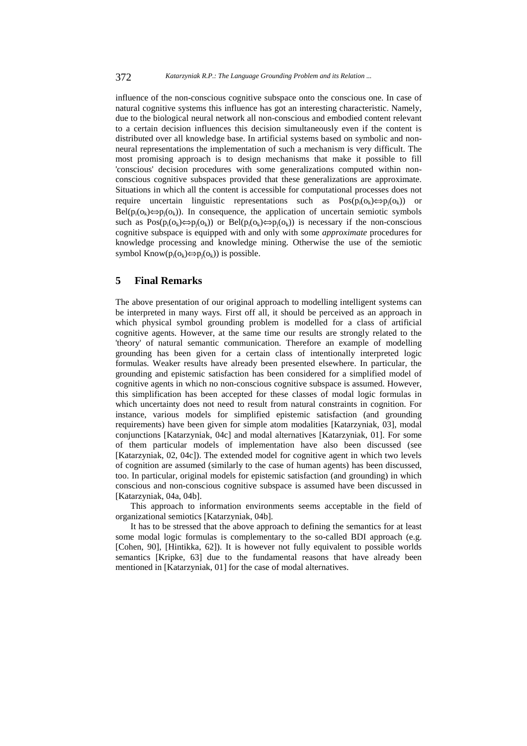influence of the non-conscious cognitive subspace onto the conscious one. In case of natural cognitive systems this influence has got an interesting characteristic. Namely, due to the biological neural network all non-conscious and embodied content relevant to a certain decision influences this decision simultaneously even if the content is distributed over all knowledge base. In artificial systems based on symbolic and nonneural representations the implementation of such a mechanism is very difficult. The most promising approach is to design mechanisms that make it possible to fill 'conscious' decision procedures with some generalizations computed within nonconscious cognitive subspaces provided that these generalizations are approximate. Situations in which all the content is accessible for computational processes does not require uncertain linguistic representations such as  $Pos(p_i(o_k) \Leftrightarrow p_i(o_k))$  or  $Bel(p_i(o_k) \Leftrightarrow p_i(o_k))$ . In consequence, the application of uncertain semiotic symbols such as  $Pos(p_i(o_k) \Leftrightarrow p_i(o_k))$  or  $Bel(p_i(o_k) \Leftrightarrow p_i(o_k))$  is necessary if the non-conscious cognitive subspace is equipped with and only with some *approximate* procedures for knowledge processing and knowledge mining. Otherwise the use of the semiotic symbol Know( $p_i(o_k) \Leftrightarrow p_i(o_k)$ ) is possible.

# **5 Final Remarks**

The above presentation of our original approach to modelling intelligent systems can be interpreted in many ways. First off all, it should be perceived as an approach in which physical symbol grounding problem is modelled for a class of artificial cognitive agents. However, at the same time our results are strongly related to the 'theory' of natural semantic communication. Therefore an example of modelling grounding has been given for a certain class of intentionally interpreted logic formulas. Weaker results have already been presented elsewhere. In particular, the grounding and epistemic satisfaction has been considered for a simplified model of cognitive agents in which no non-conscious cognitive subspace is assumed. However, this simplification has been accepted for these classes of modal logic formulas in which uncertainty does not need to result from natural constraints in cognition. For instance, various models for simplified epistemic satisfaction (and grounding requirements) have been given for simple atom modalities [Katarzyniak, 03], modal conjunctions [Katarzyniak, 04c] and modal alternatives [Katarzyniak, 01]. For some of them particular models of implementation have also been discussed (see [Katarzyniak, 02, 04c]). The extended model for cognitive agent in which two levels of cognition are assumed (similarly to the case of human agents) has been discussed, too. In particular, original models for epistemic satisfaction (and grounding) in which conscious and non-conscious cognitive subspace is assumed have been discussed in [Katarzyniak, 04a, 04b].

This approach to information environments seems acceptable in the field of organizational semiotics [Katarzyniak, 04b].

It has to be stressed that the above approach to defining the semantics for at least some modal logic formulas is complementary to the so-called BDI approach (e.g. [Cohen, 90], [Hintikka, 62]). It is however not fully equivalent to possible worlds semantics [Kripke, 63] due to the fundamental reasons that have already been mentioned in [Katarzyniak, 01] for the case of modal alternatives.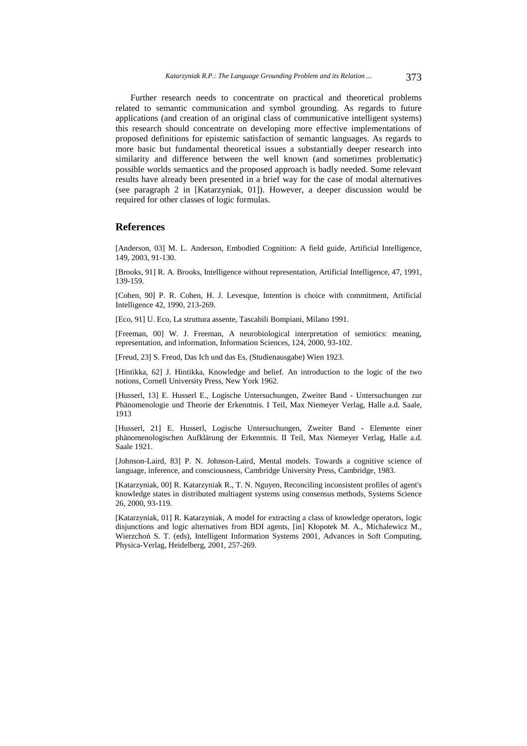Further research needs to concentrate on practical and theoretical problems related to semantic communication and symbol grounding. As regards to future applications (and creation of an original class of communicative intelligent systems) this research should concentrate on developing more effective implementations of proposed definitions for epistemic satisfaction of semantic languages. As regards to more basic but fundamental theoretical issues a substantially deeper research into similarity and difference between the well known (and sometimes problematic) possible worlds semantics and the proposed approach is badly needed. Some relevant results have already been presented in a brief way for the case of modal alternatives (see paragraph 2 in [Katarzyniak, 01]). However, a deeper discussion would be required for other classes of logic formulas.

### **References**

[Anderson, 03] M. L. Anderson, Embodied Cognition: A field guide, Artificial Intelligence, 149, 2003, 91-130.

[Brooks, 91] R. A. Brooks, Intelligence without representation, Artificial Intelligence, 47, 1991, 139-159.

[Cohen, 90] P. R. Cohen, H. J. Levesque, Intention is choice with commitment, Artificial Intelligence 42, 1990, 213-269.

[Eco, 91] U. Eco, La struttura assente, Tascabili Bompiani, Milano 1991.

[Freeman, 00] W. J. Freeman, A neurobiological interpretation of semiotics: meaning, representation, and information, Information Sciences, 124, 2000, 93-102.

[Freud, 23] S. Freud, Das Ich und das Es, (Studienausgabe) Wien 1923.

[Hintikka, 62] J. Hintikka, Knowledge and belief. An introduction to the logic of the two notions, Cornell University Press, New York 1962.

[Husserl, 13] E. Husserl E., Logische Untersuchungen, Zweiter Band - Untersuchungen zur Phänomenologie und Theorie der Erkenntnis. I Teil, Max Niemeyer Verlag, Halle a.d. Saale, 1913

[Husserl, 21] E. Husserl, Logische Untersuchungen, Zweiter Band - Elemente einer phänomenologischen Aufklärung der Erkenntnis. II Teil, Max Niemeyer Verlag, Halle a.d. Saale 1921.

[Johnson-Laird, 83] P. N. Johnson-Laird, Mental models. Towards a cognitive science of language, inference, and consciousness, Cambridge University Press, Cambridge, 1983.

[Katarzyniak, 00] R. Katarzyniak R., T. N. Nguyen, Reconciling inconsistent profiles of agent's knowledge states in distributed multiagent systems using consensus methods, Systems Science 26, 2000, 93-119.

[Katarzyniak, 01] R. Katarzyniak, A model for extracting a class of knowledge operators, logic disjunctions and logic alternatives from BDI agents, [in] Kłopotek M. A., Michalewicz M., Wierzchoń S. T. (eds), Intelligent Information Systems 2001, Advances in Soft Computing, Physica-Verlag, Heidelberg, 2001, 257-269.